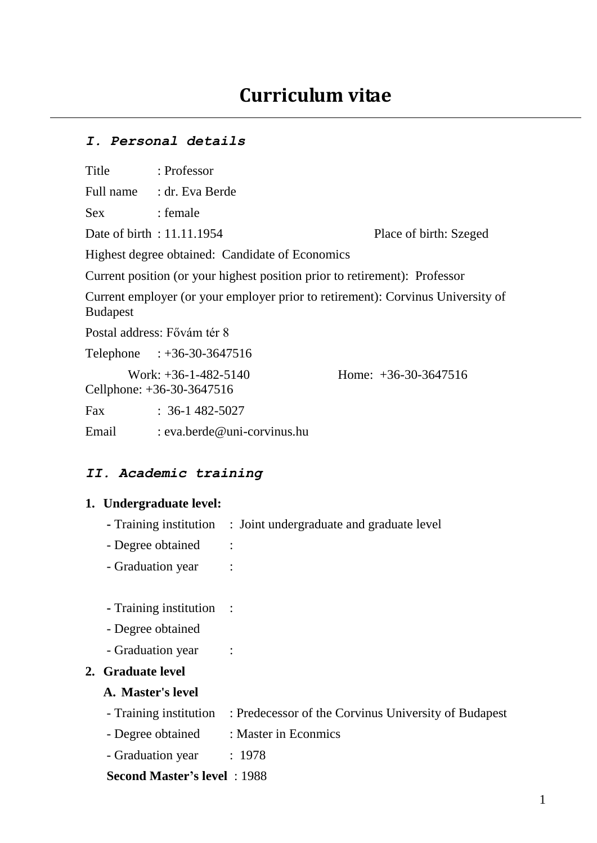# *I. Personal details*

| Title           | : Professor                                                                     |                        |
|-----------------|---------------------------------------------------------------------------------|------------------------|
|                 | Full name : dr. Eva Berde                                                       |                        |
| <b>Sex</b>      | : female                                                                        |                        |
|                 | Date of birth : 11.11.1954                                                      | Place of birth: Szeged |
|                 | Highest degree obtained: Candidate of Economics                                 |                        |
|                 | Current position (or your highest position prior to retirement): Professor      |                        |
| <b>Budapest</b> | Current employer (or your employer prior to retirement): Corvinus University of |                        |
|                 | Postal address: Fővám tér 8                                                     |                        |
|                 | Telephone : +36-30-3647516                                                      |                        |
|                 | Work: $+36-1-482-5140$<br>Cellphone: +36-30-3647516                             | Home: $+36-30-3647516$ |
| Fax             | $: 36-1482-5027$                                                                |                        |
| Email           | : eva.berde@uni-corvinus.hu                                                     |                        |

## *II. Academic training*

#### **1. Undergraduate level:**

- **-** Training institution : Joint undergraduate and graduate level
- Degree obtained :
- Graduation year :
- **-** Training institution :
- Degree obtained
- Graduation year :

## **2. Graduate level**

### **A. Master's level**

- Training institution : Predecessor of the Corvinus University of Budapest
- Degree obtained : Master in Econmics
- Graduation year : 1978

## **Second Master's level** : 1988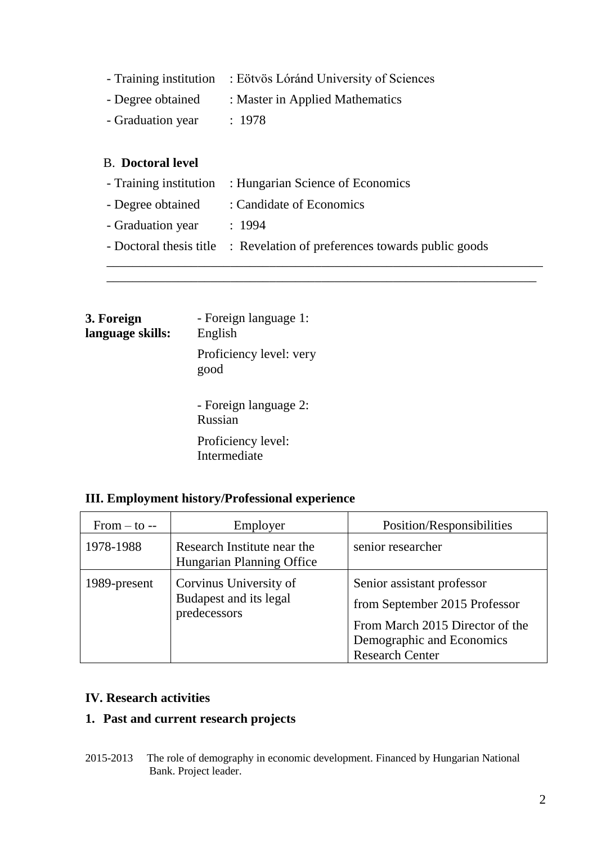|                   | - Training institution : Eötvös Lóránd University of Sciences |
|-------------------|---------------------------------------------------------------|
| - Degree obtained | : Master in Applied Mathematics                               |
| - Graduation year | : 1978                                                        |

## B. **Doctoral level**

|                   | - Training institution : Hungarian Science of Economics                  |
|-------------------|--------------------------------------------------------------------------|
| - Degree obtained | : Candidate of Economics                                                 |
| - Graduation year | : 1994                                                                   |
|                   | - Doctoral thesis title : Revelation of preferences towards public goods |
|                   |                                                                          |

\_\_\_\_\_\_\_\_\_\_\_\_\_\_\_\_\_\_\_\_\_\_\_\_\_\_\_\_\_\_\_\_\_\_\_\_\_\_\_\_\_\_\_\_\_\_\_\_\_\_\_\_\_\_\_\_\_\_\_\_\_\_\_\_\_\_

| 3. Foreign<br>language skills: | - Foreign language 1:<br>English   |  |
|--------------------------------|------------------------------------|--|
|                                | Proficiency level: very<br>good    |  |
|                                | - Foreign language 2:<br>Russian   |  |
|                                | Proficiency level:<br>Intermediate |  |

# **III. Employment history/Professional experience**

| From $-$ to $-$ | Employer                                                         | Position/Responsibilities                                                                                                                             |
|-----------------|------------------------------------------------------------------|-------------------------------------------------------------------------------------------------------------------------------------------------------|
| 1978-1988       | Research Institute near the<br>Hungarian Planning Office         | senior researcher                                                                                                                                     |
| 1989-present    | Corvinus University of<br>Budapest and its legal<br>predecessors | Senior assistant professor<br>from September 2015 Professor<br>From March 2015 Director of the<br>Demographic and Economics<br><b>Research Center</b> |

# **IV. Research activities**

# **1. Past and current research projects**

2015-2013 The role of demography in economic development. Financed by Hungarian National Bank. Project leader.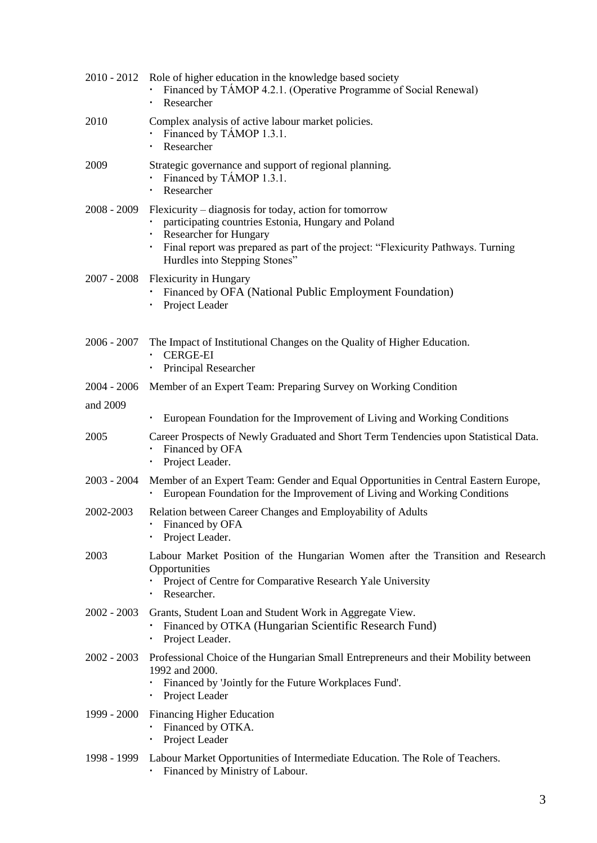|               | 2010 - 2012 Role of higher education in the knowledge based society<br>Financed by TAMOP 4.2.1. (Operative Programme of Social Renewal)<br>Researcher                                                                                                               |
|---------------|---------------------------------------------------------------------------------------------------------------------------------------------------------------------------------------------------------------------------------------------------------------------|
| 2010          | Complex analysis of active labour market policies.<br>Financed by TAMOP 1.3.1.<br>Researcher                                                                                                                                                                        |
| 2009          | Strategic governance and support of regional planning.<br>Financed by TÁMOP 1.3.1.<br>Researcher                                                                                                                                                                    |
| $2008 - 2009$ | Flexicurity – diagnosis for today, action for tomorrow<br>participating countries Estonia, Hungary and Poland<br><b>Researcher for Hungary</b><br>Final report was prepared as part of the project: "Flexicurity Pathways. Turning<br>Hurdles into Stepping Stones" |
|               | 2007 - 2008 Flexicurity in Hungary<br>Financed by OFA (National Public Employment Foundation)<br>Project Leader                                                                                                                                                     |
| 2006 - 2007   | The Impact of Institutional Changes on the Quality of Higher Education.<br><b>CERGE-EI</b><br>Principal Researcher                                                                                                                                                  |
| 2004 - 2006   | Member of an Expert Team: Preparing Survey on Working Condition                                                                                                                                                                                                     |
| and 2009      |                                                                                                                                                                                                                                                                     |
|               | European Foundation for the Improvement of Living and Working Conditions                                                                                                                                                                                            |
| 2005          | Career Prospects of Newly Graduated and Short Term Tendencies upon Statistical Data.<br>Financed by OFA<br>Project Leader.                                                                                                                                          |
| $2003 - 2004$ | Member of an Expert Team: Gender and Equal Opportunities in Central Eastern Europe,<br>European Foundation for the Improvement of Living and Working Conditions                                                                                                     |
| 2002-2003     | Relation between Career Changes and Employability of Adults<br>Financed by OFA<br>Project Leader.                                                                                                                                                                   |
| 2003          | Labour Market Position of the Hungarian Women after the Transition and Research<br>Opportunities<br>Project of Centre for Comparative Research Yale University<br>Researcher.                                                                                       |
| $2002 - 2003$ | Grants, Student Loan and Student Work in Aggregate View.<br>Financed by OTKA (Hungarian Scientific Research Fund)<br>Project Leader.                                                                                                                                |
| $2002 - 2003$ | Professional Choice of the Hungarian Small Entrepreneurs and their Mobility between<br>1992 and 2000.<br>Financed by 'Jointly for the Future Workplaces Fund'.<br>Project Leader                                                                                    |
| 1999 - 2000   | <b>Financing Higher Education</b><br>Financed by OTKA.<br>Project Leader                                                                                                                                                                                            |
| 1998 - 1999   | Labour Market Opportunities of Intermediate Education. The Role of Teachers.                                                                                                                                                                                        |

Financed by Ministry of Labour.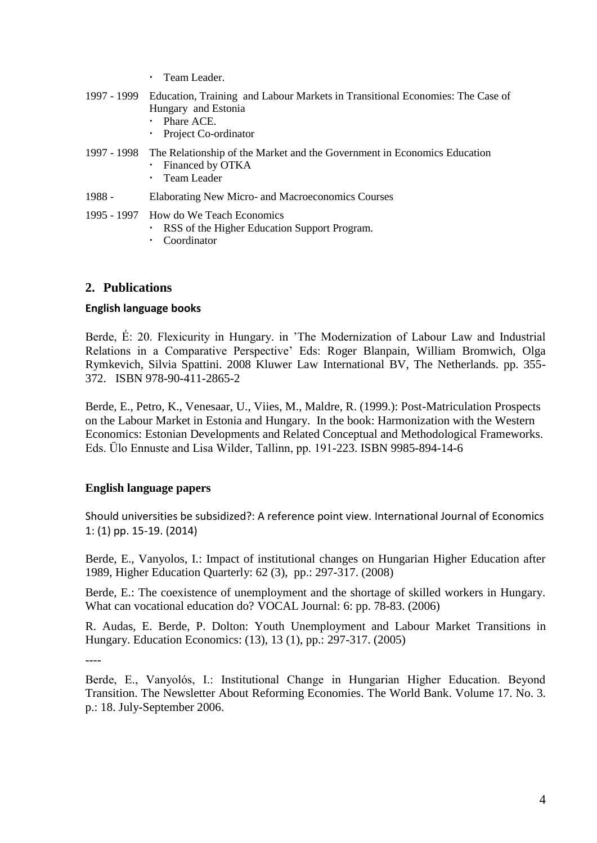|  | Team Leader. |
|--|--------------|
|--|--------------|

- 1997 1999 Education, Training and Labour Markets in Transitional Economies: The Case of Hungary and Estonia
	- Phare ACE.
		- Project Co-ordinator
- 1997 1998 The Relationship of the Market and the Government in Economics Education Financed by OTKA
	- Team Leader
- 1988 Elaborating New Micro- and Macroeconomics Courses
- 1995 1997 How do We Teach Economics
	- RSS of the Higher Education Support Program.
	- Coordinator

### **2. Publications**

#### **English language books**

Berde, É: 20. Flexicurity in Hungary. in 'The Modernization of Labour Law and Industrial Relations in a Comparative Perspective' Eds: Roger Blanpain, William Bromwich, Olga Rymkevich, Silvia Spattini. 2008 Kluwer Law International BV, The Netherlands. pp. 355- 372. ISBN 978-90-411-2865-2

Berde, E., Petro, K., Venesaar, U., Viies, M., Maldre, R. (1999.): Post-Matriculation Prospects on the Labour Market in Estonia and Hungary. In the book: Harmonization with the Western Economics: Estonian Developments and Related Conceptual and Methodological Frameworks. Eds. Ülo Ennuste and Lisa Wilder, Tallinn, pp. 191-223. ISBN 9985-894-14-6

### **English language papers**

Should universities be subsidized?: A reference point view. International Journal of Economics 1: (1) pp. 15-19. (2014)

Berde, E., Vanyolos, I.: Impact of institutional changes on Hungarian Higher Education after 1989, Higher Education Quarterly: 62 (3), pp.: 297-317. (2008)

Berde, E.: The coexistence of unemployment and the shortage of skilled workers in Hungary. What can vocational education do? VOCAL Journal: 6: pp. 78-83. (2006)

R. Audas, E. Berde, P. Dolton: Youth Unemployment and Labour Market Transitions in Hungary. Education Economics: (13), 13 (1), pp.: 297-317. (2005)

----

Berde, E., Vanyolós, I.: Institutional Change in Hungarian Higher Education. Beyond Transition. The Newsletter About Reforming Economies. The World Bank. Volume 17. No. 3. p.: 18. July-September 2006.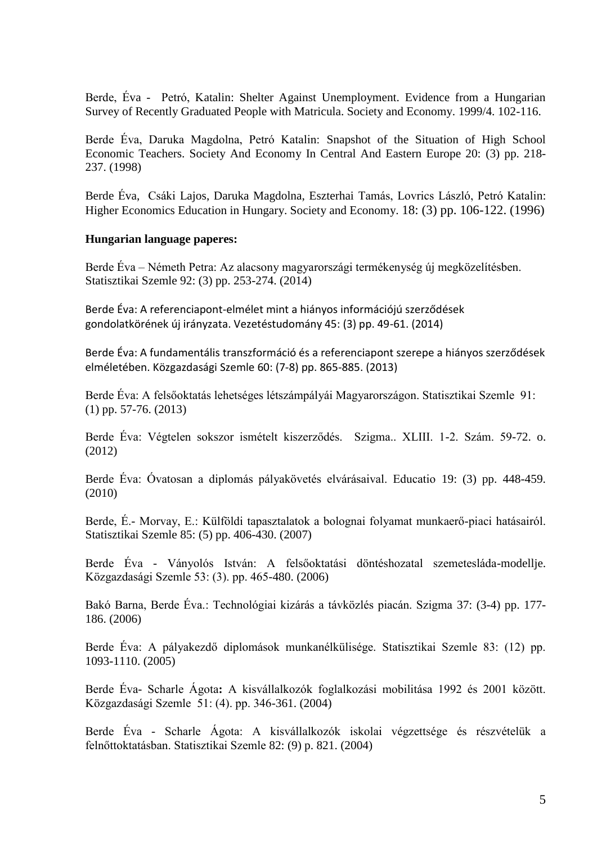Berde, Éva - Petró, Katalin: Shelter Against Unemployment. Evidence from a Hungarian Survey of Recently Graduated People with Matricula. Society and Economy. 1999/4. 102-116.

Berde Éva, Daruka Magdolna, Petró Katalin: Snapshot of the Situation of High School Economic Teachers. Society And Economy In Central And Eastern Europe 20: (3) pp. 218- 237. (1998)

Berde Éva, Csáki Lajos, Daruka Magdolna, Eszterhai Tamás, Lovrics László, Petró Katalin: Higher Economics Education in Hungary. Society and Economy. 18: (3) pp. 106-122. (1996)

#### **Hungarian language paperes:**

Berde Éva – Németh Petra: Az alacsony magyarországi termékenység új megközelítésben. Statisztikai Szemle 92: (3) pp. 253-274. (2014)

Berde Éva: A referenciapont-elmélet mint a hiányos információjú szerződések gondolatkörének új irányzata. Vezetéstudomány 45: (3) pp. 49-61. (2014)

Berde Éva: A fundamentális transzformáció és a referenciapont szerepe a hiányos szerződések elméletében. Közgazdasági Szemle 60: (7-8) pp. 865-885. (2013)

Berde Éva: A felsőoktatás lehetséges létszámpályái Magyarországon. Statisztikai Szemle 91: (1) pp. 57-76. (2013)

Berde Éva: Végtelen sokszor ismételt kiszerződés. Szigma.. XLIII. 1-2. Szám. 59-72. o. (2012)

Berde Éva: Óvatosan a diplomás pályakövetés elvárásaival. Educatio 19: (3) pp. 448-459. (2010)

Berde, É.- Morvay, E.: Külföldi tapasztalatok a bolognai folyamat munkaerő-piaci hatásairól. Statisztikai Szemle 85: (5) pp. 406-430. (2007)

Berde Éva - Ványolós István: A felsőoktatási döntéshozatal szemetesláda-modellje. Közgazdasági Szemle 53: (3). pp. 465-480. (2006)

Bakó Barna, Berde Éva.: Technológiai kizárás a távközlés piacán. Szigma 37: (3-4) pp. 177- 186. (2006)

Berde Éva: A pályakezdő diplomások munkanélkülisége. Statisztikai Szemle 83: (12) pp. 1093-1110. (2005)

Berde Éva- Scharle Ágota**:** A kisvállalkozók foglalkozási mobilitása 1992 és 2001 között. Közgazdasági Szemle 51: (4). pp. 346-361. (2004)

Berde Éva - Scharle Ágota: A kisvállalkozók iskolai végzettsége és részvételük a felnőttoktatásban. Statisztikai Szemle 82: (9) p. 821. (2004)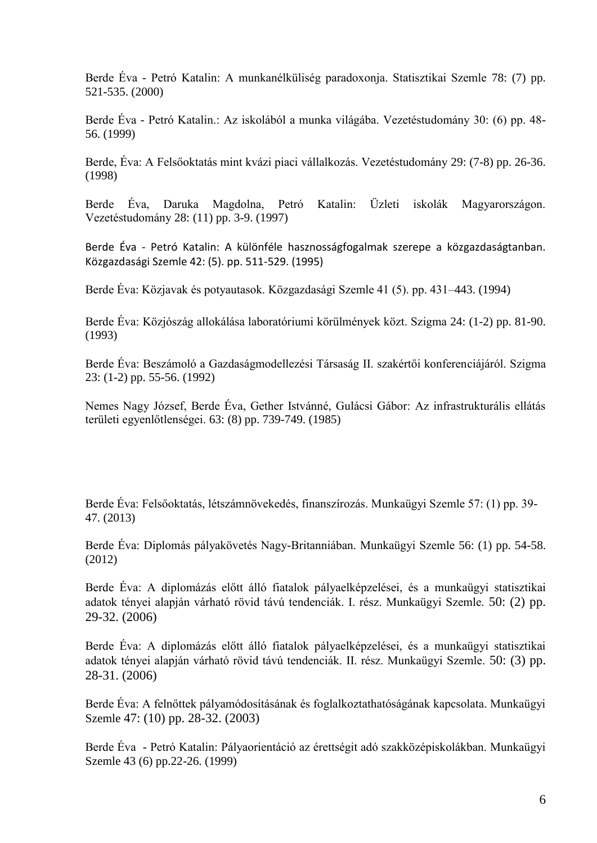Berde Éva - Petró Katalin: A munkanélküliség paradoxonja. Statisztikai Szemle 78: (7) pp. 521-535. (2000)

Berde Éva - Petró Katalin.: Az iskolából a munka világába. Vezetéstudomány 30: (6) pp. 48- 56. (1999)

Berde, Éva: A Felsőoktatás mint kvázi piaci vállalkozás. Vezetéstudomány 29: (7-8) pp. 26-36. (1998)

Berde Éva, Daruka Magdolna, Petró Katalin: Üzleti iskolák Magyarországon. Vezetéstudomány 28: (11) pp. 3-9. (1997)

Berde Éva - Petró Katalin: A különféle hasznosságfogalmak szerepe a közgazdaságtanban. Közgazdasági Szemle 42: (5). pp. 511-529. (1995)

Berde Éva: Közjavak és potyautasok. Közgazdasági Szemle 41 (5). pp. 431–443. (1994)

Berde Éva: Közjószág allokálása laboratóriumi körülmények közt. Szigma 24: (1-2) pp. 81-90. (1993)

Berde Éva: Beszámoló a Gazdaságmodellezési Társaság II. szakértői konferenciájáról. Szigma 23: (1-2) pp. 55-56. (1992)

Nemes Nagy József, Berde Éva, Gether Istvánné, Gulácsi Gábor: Az infrastrukturális ellátás területi egyenlőtlenségei. 63: (8) pp. 739-749. (1985)

Berde Éva: Felsőoktatás, létszámnövekedés, finanszírozás. Munkaügyi Szemle 57: (1) pp. 39- 47. (2013)

Berde Éva: Diplomás pályakövetés Nagy-Britanniában. Munkaügyi Szemle 56: (1) pp. 54-58. (2012)

Berde Éva: A diplomázás előtt álló fiatalok pályaelképzelései, és a munkaügyi statisztikai adatok tényei alapján várható rövid távú tendenciák. I. rész. Munkaügyi Szemle. 50: (2) pp. 29-32. (2006)

Berde Éva: A diplomázás előtt álló fiatalok pályaelképzelései, és a munkaügyi statisztikai adatok tényei alapján várható rövid távú tendenciák. II. rész. Munkaügyi Szemle. 50: (3) pp. 28-31. (2006)

Berde Éva: A felnőttek pályamódosításának és foglalkoztathatóságának kapcsolata. Munkaügyi Szemle 47: (10) pp. 28-32. (2003)

Berde Éva - Petró Katalin: Pályaorientáció az érettségit adó szakközépiskolákban. Munkaügyi Szemle 43 (6) pp.22-26. (1999)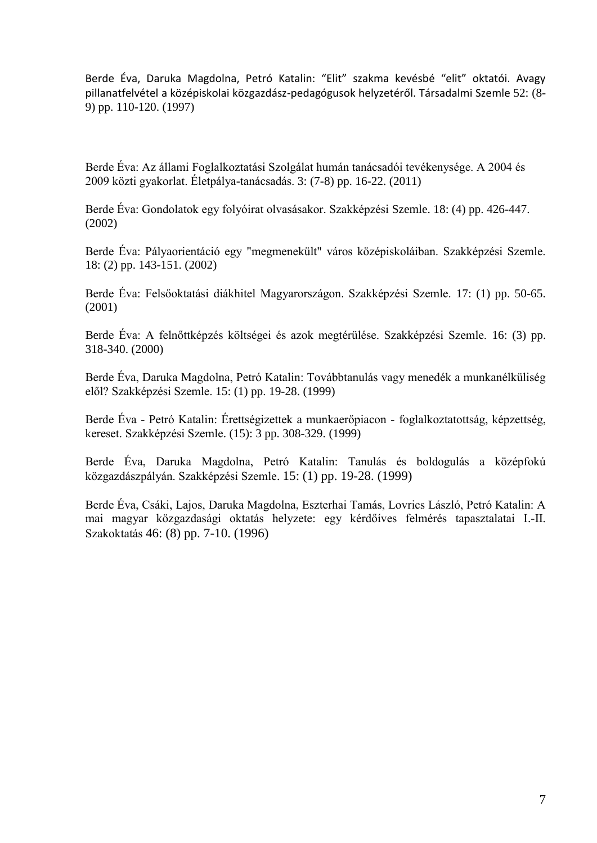Berde Éva, Daruka Magdolna, Petró Katalin: "Elit" szakma kevésbé "elit" oktatói. Avagy pillanatfelvétel a középiskolai közgazdász-pedagógusok helyzetéről. Társadalmi Szemle 52: (8- 9) pp. 110-120. (1997)

Berde Éva: Az állami Foglalkoztatási Szolgálat humán tanácsadói tevékenysége. A 2004 és 2009 közti gyakorlat. Életpálya-tanácsadás. 3: (7-8) pp. 16-22. (2011)

Berde Éva: Gondolatok egy folyóirat olvasásakor. Szakképzési Szemle. 18: (4) pp. 426-447. (2002)

Berde Éva: Pályaorientáció egy "megmenekült" város középiskoláiban. Szakképzési Szemle. 18: (2) pp. 143-151. (2002)

Berde Éva: Felsőoktatási diákhitel Magyarországon. Szakképzési Szemle. 17: (1) pp. 50-65. (2001)

Berde Éva: A felnőttképzés költségei és azok megtérülése. Szakképzési Szemle. 16: (3) pp. 318-340. (2000)

Berde Éva, Daruka Magdolna, Petró Katalin: Továbbtanulás vagy menedék a munkanélküliség elől? Szakképzési Szemle. 15: (1) pp. 19-28. (1999)

Berde Éva - Petró Katalin: Érettségizettek a munkaerőpiacon - foglalkoztatottság, képzettség, kereset. Szakképzési Szemle. (15): 3 pp. 308-329. (1999)

Berde Éva, Daruka Magdolna, Petró Katalin: Tanulás és boldogulás a középfokú közgazdászpályán. Szakképzési Szemle. 15: (1) pp. 19-28. (1999)

Berde Éva, Csáki, Lajos, Daruka Magdolna, Eszterhai Tamás, Lovrics László, Petró Katalin: A mai magyar közgazdasági oktatás helyzete: egy kérdőíves felmérés tapasztalatai I.-II. Szakoktatás 46: (8) pp. 7-10. (1996)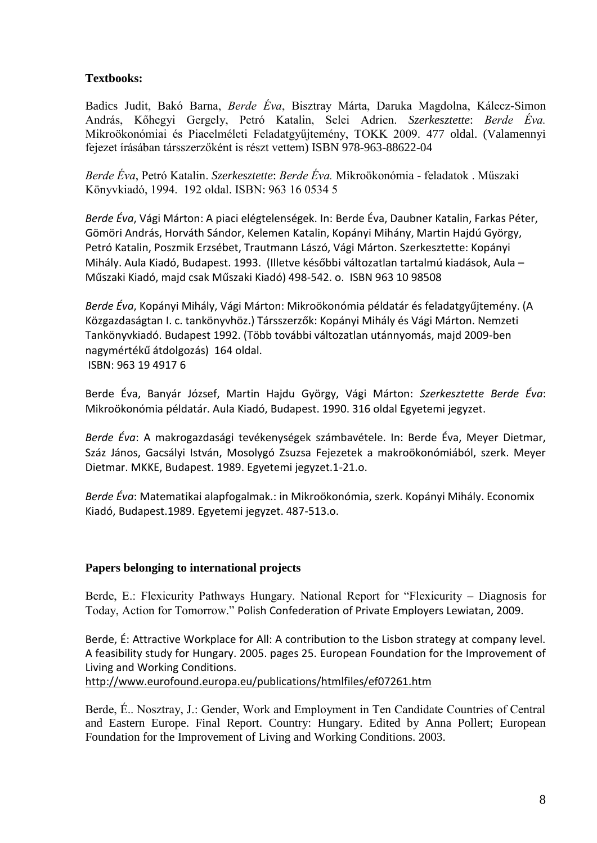## **Textbooks:**

Badics Judit, Bakó Barna, *Berde Éva*, Bisztray Márta, Daruka Magdolna, Kálecz-Simon András, Kőhegyi Gergely, Petró Katalin, Selei Adrien. *Szerkesztette*: *Berde Éva.* Mikroökonómiai és Piacelméleti Feladatgyűjtemény, TOKK 2009. 477 oldal. (Valamennyi fejezet írásában társszerzőként is részt vettem) ISBN 978-963-88622-04

*Berde Éva*, Petró Katalin. *Szerkesztette*: *Berde Éva.* Mikroökonómia - feladatok . Műszaki Könyvkiadó, 1994. 192 oldal. ISBN: 963 16 0534 5

*Berde Éva*, Vági Márton: A piaci elégtelenségek. In: Berde Éva, Daubner Katalin, Farkas Péter, Gömöri András, Horváth Sándor, Kelemen Katalin, Kopányi Mihány, Martin Hajdú György, Petró Katalin, Poszmik Erzsébet, Trautmann Lászó, Vági Márton. Szerkesztette: Kopányi Mihály. Aula Kiadó, Budapest. 1993. (Illetve későbbi változatlan tartalmú kiadások, Aula – Műszaki Kiadó, majd csak Műszaki Kiadó) 498-542. o. ISBN 963 10 98508

*Berde Éva*, Kopányi Mihály, Vági Márton: Mikroökonómia példatár és feladatgyűjtemény. (A Közgazdaságtan I. c. tankönyvhöz.) Társszerzők: Kopányi Mihály és Vági Márton. Nemzeti Tankönyvkiadó. Budapest 1992. (Több további változatlan utánnyomás, majd 2009-ben nagymértékű átdolgozás) 164 oldal. ISBN: 963 19 4917 6

Berde Éva, Banyár József, Martin Hajdu György, Vági Márton: *Szerkesztette Berde Éva*: Mikroökonómia példatár. Aula Kiadó, Budapest. 1990. 316 oldal Egyetemi jegyzet.

*Berde Éva*: A makrogazdasági tevékenységek számbavétele. In: Berde Éva, Meyer Dietmar, Száz János, Gacsályi István, Mosolygó Zsuzsa Fejezetek a makroökonómiából, szerk. Meyer Dietmar. MKKE, Budapest. 1989. Egyetemi jegyzet.1-21.o.

*Berde Éva*: Matematikai alapfogalmak.: in Mikroökonómia, szerk. Kopányi Mihály. Economix Kiadó, Budapest.1989. Egyetemi jegyzet. 487-513.o.

### **Papers belonging to international projects**

Berde, E.: Flexicurity Pathways Hungary. National Report for "Flexicurity – Diagnosis for Today, Action for Tomorrow." Polish Confederation of Private Employers Lewiatan, 2009.

Berde, É: Attractive Workplace for All: A contribution to the Lisbon strategy at company level. A feasibility study for Hungary. 2005. pages 25. European Foundation for the Improvement of Living and Working Conditions. <http://www.eurofound.europa.eu/publications/htmlfiles/ef07261.htm>

Berde, É.. Nosztray, J.: Gender, Work and Employment in Ten Candidate Countries of Central and Eastern Europe. Final Report. Country: Hungary. Edited by Anna Pollert; European Foundation for the Improvement of Living and Working Conditions. 2003.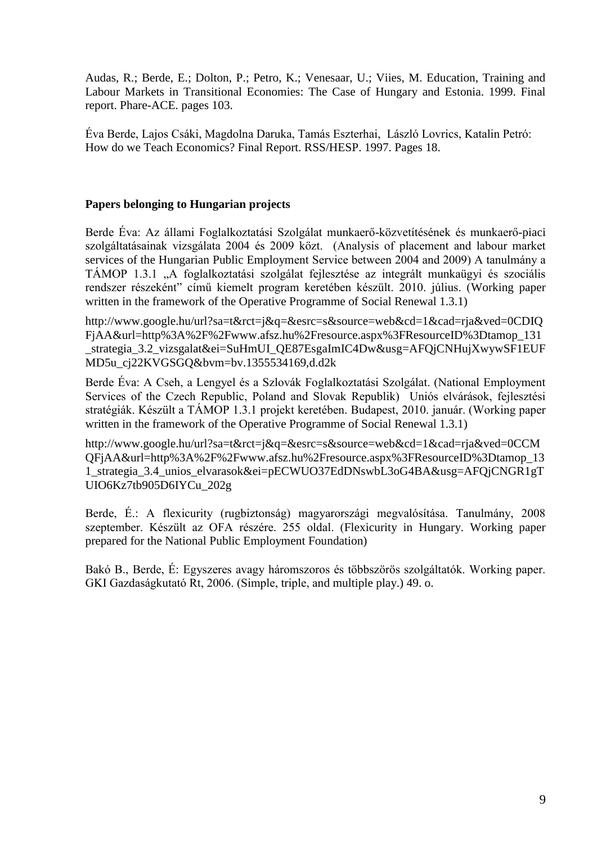Audas, R.; Berde, E.; Dolton, P.; Petro, K.; Venesaar, U.; Viies, M. Education, Training and Labour Markets in Transitional Economies: The Case of Hungary and Estonia. 1999. Final report. Phare-ACE. pages 103.

Éva Berde, Lajos Csáki, Magdolna Daruka, Tamás Eszterhai, László Lovrics, Katalin Petró: How do we Teach Economics? Final Report. RSS/HESP. 1997. Pages 18.

#### **Papers belonging to Hungarian projects**

Berde Éva: Az állami Foglalkoztatási Szolgálat munkaerő-közvetítésének és munkaerő-piaci szolgáltatásainak vizsgálata 2004 és 2009 közt. (Analysis of placement and labour market services of the Hungarian Public Employment Service between 2004 and 2009) A tanulmány a TÁMOP 1.3.1 "A foglalkoztatási szolgálat fejlesztése az integrált munkaügyi és szociális rendszer részeként" című kiemelt program keretében készült. 2010. július. (Working paper written in the framework of the Operative Programme of Social Renewal 1.3.1)

http://www.google.hu/url?sa=t&rct=j&q=&esrc=s&source=web&cd=1&cad=rja&ved=0CDIQ FjAA&url=http%3A%2F%2Fwww.afsz.hu%2Fresource.aspx%3FResourceID%3Dtamop\_131 \_strategia\_3.2\_vizsgalat&ei=SuHmUI\_QE87EsgaImIC4Dw&usg=AFQjCNHujXwywSF1EUF MD5u\_cj22KVGSGQ&bvm=bv.1355534169,d.d2k

Berde Éva: A Cseh, a Lengyel és a Szlovák Foglalkoztatási Szolgálat. (National Employment Services of the Czech Republic, Poland and Slovak Republik) Uniós elvárások, fejlesztési stratégiák. Készült a TÁMOP 1.3.1 projekt keretében. Budapest, 2010. január. (Working paper written in the framework of the Operative Programme of Social Renewal 1.3.1)

http://www.google.hu/url?sa=t&rct=j&q=&esrc=s&source=web&cd=1&cad=rja&ved=0CCM QFjAA&url=http%3A%2F%2Fwww.afsz.hu%2Fresource.aspx%3FResourceID%3Dtamop\_13 1\_strategia\_3.4\_unios\_elvarasok&ei=pECWUO37EdDNswbL3oG4BA&usg=AFQjCNGR1gT UIO6Kz7tb905D6IYCu\_202g

Berde, É.: A flexicurity (rugbiztonság) magyarországi megvalósítása. Tanulmány, 2008 szeptember. Készült az OFA részére. 255 oldal. (Flexicurity in Hungary. Working paper prepared for the National Public Employment Foundation)

Bakó B., Berde, É: Egyszeres avagy háromszoros és többszörös szolgáltatók. Working paper. GKI Gazdaságkutató Rt, 2006. (Simple, triple, and multiple play.) 49. o.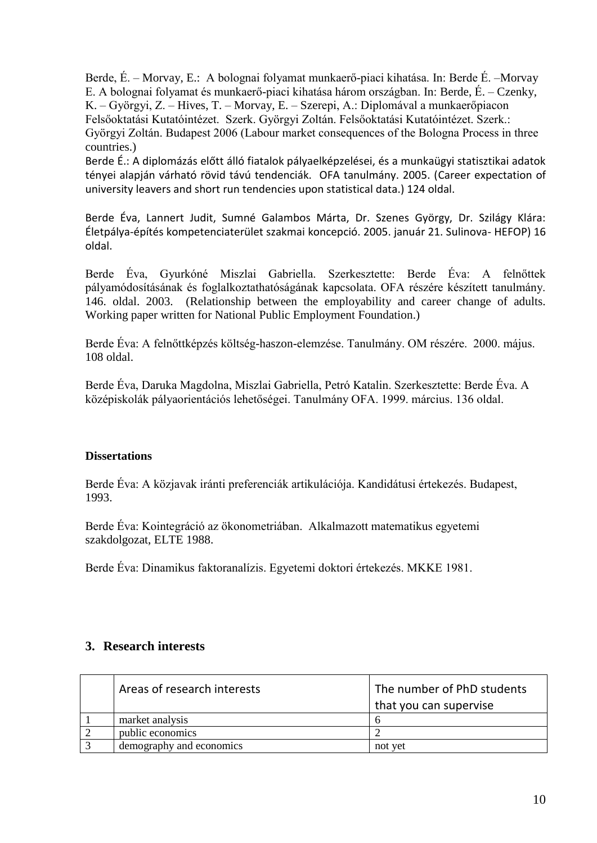Berde, É. – Morvay, E.: A bolognai folyamat munkaerő-piaci kihatása. In: Berde É. –Morvay E. A bolognai folyamat és munkaerő-piaci kihatása három országban. In: Berde, É. – Czenky, K. – Györgyi, Z. – Hives, T. – Morvay, E. – Szerepi, A.: Diplomával a munkaerőpiacon Felsőoktatási Kutatóintézet. Szerk. Györgyi Zoltán. Felsőoktatási Kutatóintézet. Szerk.: Györgyi Zoltán. Budapest 2006 (Labour market consequences of the Bologna Process in three countries.)

Berde É.: A diplomázás előtt álló fiatalok pályaelképzelései, és a munkaügyi statisztikai adatok tényei alapján várható rövid távú tendenciák. OFA tanulmány. 2005. (Career expectation of university leavers and short run tendencies upon statistical data.) 124 oldal.

Berde Éva, Lannert Judit, Sumné Galambos Márta, Dr. Szenes György, Dr. Szilágy Klára: Életpálya-építés kompetenciaterület szakmai koncepció. 2005. január 21. Sulinova- HEFOP) 16 oldal.

Berde Éva, Gyurkóné Miszlai Gabriella. Szerkesztette: Berde Éva: A felnőttek pályamódosításának és foglalkoztathatóságának kapcsolata. OFA részére készített tanulmány. 146. oldal. 2003. (Relationship between the employability and career change of adults. Working paper written for National Public Employment Foundation.)

Berde Éva: A felnőttképzés költség-haszon-elemzése. Tanulmány. OM részére. 2000. május. 108 oldal.

Berde Éva, Daruka Magdolna, Miszlai Gabriella, Petró Katalin. Szerkesztette: Berde Éva. A középiskolák pályaorientációs lehetőségei. Tanulmány OFA. 1999. március. 136 oldal.

### **Dissertations**

Berde Éva: A közjavak iránti preferenciák artikulációja. Kandidátusi értekezés. Budapest, 1993.

Berde Éva: Kointegráció az ökonometriában. Alkalmazott matematikus egyetemi szakdolgozat, ELTE 1988.

Berde Éva: Dinamikus faktoranalízis. Egyetemi doktori értekezés. MKKE 1981.

### **3. Research interests**

| Areas of research interests | The number of PhD students |
|-----------------------------|----------------------------|
|                             | that you can supervise     |
| market analysis             |                            |
| public economics            |                            |
| demography and economics    | not vet                    |